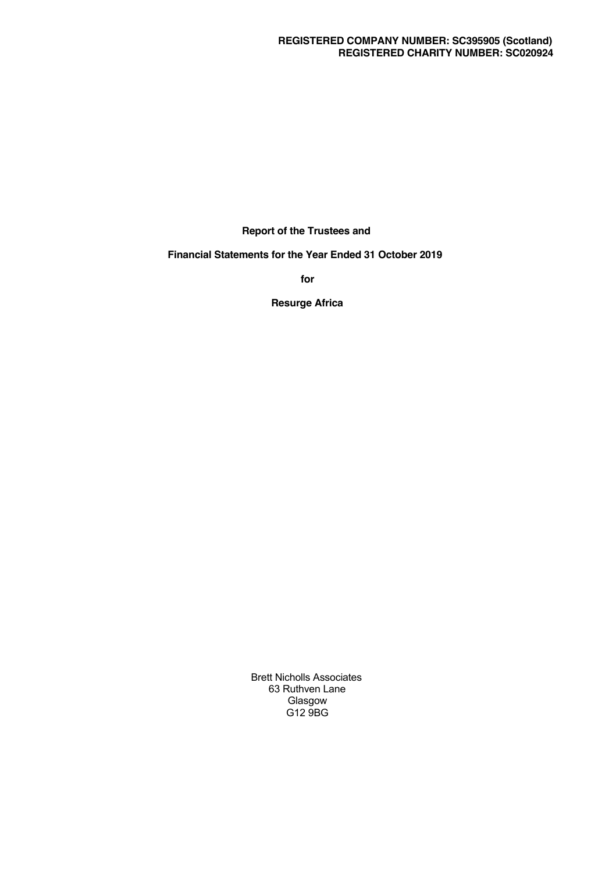**Report of the Trustees and**

**Financial Statements for the Year Ended 31 October 2019**

**for**

**Resurge Africa**

Brett Nicholls Associates 63 Ruthven Lane **Glasgow** G12 9BG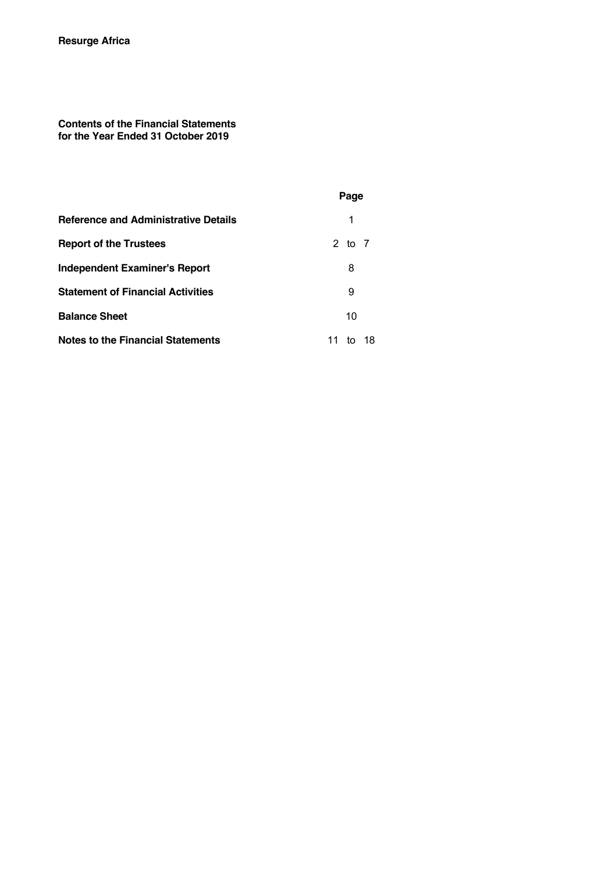**Contents of the Financial Statements for the Year Ended 31 October 2019**

|                                             | Page              |
|---------------------------------------------|-------------------|
| <b>Reference and Administrative Details</b> | 1                 |
| <b>Report of the Trustees</b>               | 2 to 7            |
| Independent Examiner's Report               | 8                 |
| <b>Statement of Financial Activities</b>    | 9                 |
| <b>Balance Sheet</b>                        | 10                |
| <b>Notes to the Financial Statements</b>    | 11<br>- 18<br>to. |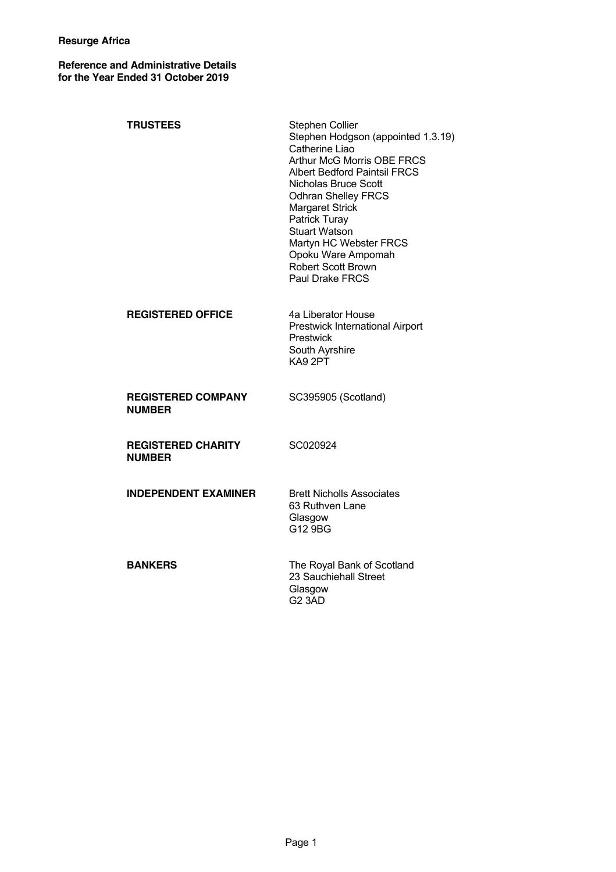**Reference and Administrative Details for the Year Ended 31 October 2019**

| <b>TRUSTEES</b>                            | <b>Stephen Collier</b><br>Stephen Hodgson (appointed 1.3.19)<br>Catherine Liao<br><b>Arthur McG Morris OBE FRCS</b><br><b>Albert Bedford Paintsil FRCS</b><br><b>Nicholas Bruce Scott</b><br><b>Odhran Shelley FRCS</b><br><b>Margaret Strick</b><br>Patrick Turay<br><b>Stuart Watson</b><br>Martyn HC Webster FRCS<br>Opoku Ware Ampomah<br><b>Robert Scott Brown</b><br>Paul Drake FRCS |
|--------------------------------------------|--------------------------------------------------------------------------------------------------------------------------------------------------------------------------------------------------------------------------------------------------------------------------------------------------------------------------------------------------------------------------------------------|
| <b>REGISTERED OFFICE</b>                   | 4a Liberator House<br>Prestwick International Airport<br>Prestwick<br>South Ayrshire<br>KA9 2PT                                                                                                                                                                                                                                                                                            |
| <b>REGISTERED COMPANY</b><br><b>NUMBER</b> | SC395905 (Scotland)                                                                                                                                                                                                                                                                                                                                                                        |
| <b>REGISTERED CHARITY</b><br><b>NUMBER</b> | SC020924                                                                                                                                                                                                                                                                                                                                                                                   |
| <b>INDEPENDENT EXAMINER</b>                | <b>Brett Nicholls Associates</b><br>63 Ruthven Lane<br>Glasgow<br>G12 9BG                                                                                                                                                                                                                                                                                                                  |
| <b>BANKERS</b>                             | The Royal Bank of Scotland<br>23 Sauchiehall Street<br>Glasgow<br>G <sub>2</sub> 3AD                                                                                                                                                                                                                                                                                                       |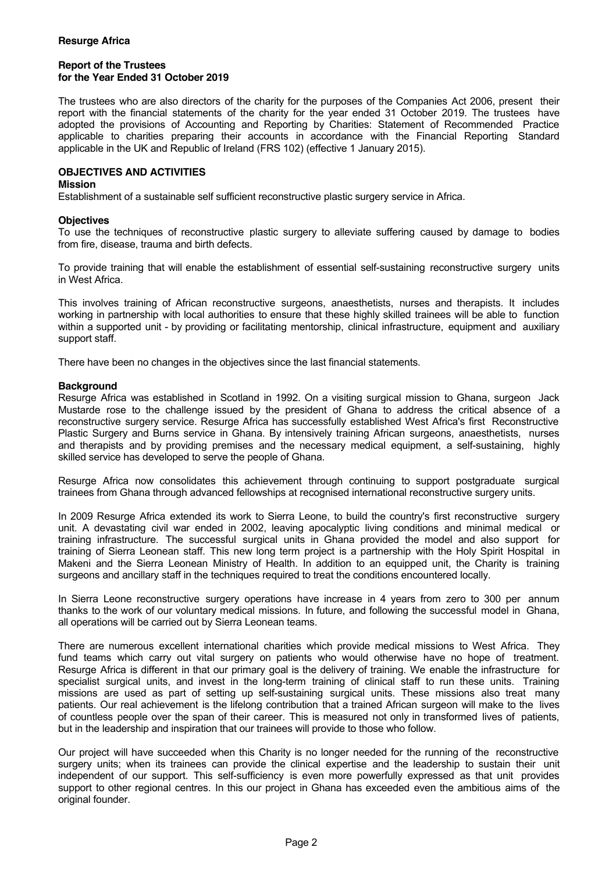The trustees who are also directors of the charity for the purposes of the Companies Act 2006, present their report with the financial statements of the charity for the year ended 31 October 2019. The trustees have adopted the provisions of Accounting and Reporting by Charities: Statement of Recommended Practice applicable to charities preparing their accounts in accordance with the Financial Reporting Standard applicable in the UK and Republic of Ireland (FRS 102) (effective 1 January 2015).

# **OBJECTIVES AND ACTIVITIES**

#### **Mission**

Establishment of a sustainable self sufficient reconstructive plastic surgery service in Africa.

### **Objectives**

To use the techniques of reconstructive plastic surgery to alleviate suffering caused by damage to bodies from fire, disease, trauma and birth defects.

To provide training that will enable the establishment of essential self-sustaining reconstructive surgery units in West Africa.

This involves training of African reconstructive surgeons, anaesthetists, nurses and therapists. It includes working in partnership with local authorities to ensure that these highly skilled trainees will be able to function within a supported unit - by providing or facilitating mentorship, clinical infrastructure, equipment and auxiliary support staff.

There have been no changes in the objectives since the last financial statements.

### **Background**

Resurge Africa was established in Scotland in 1992. On a visiting surgical mission to Ghana, surgeon Jack Mustarde rose to the challenge issued by the president of Ghana to address the critical absence of a reconstructive surgery service. Resurge Africa has successfully established West Africa's first Reconstructive Plastic Surgery and Burns service in Ghana. By intensively training African surgeons, anaesthetists, nurses and therapists and by providing premises and the necessary medical equipment, a self-sustaining, highly skilled service has developed to serve the people of Ghana.

Resurge Africa now consolidates this achievement through continuing to support postgraduate surgical trainees from Ghana through advanced fellowships at recognised international reconstructive surgery units.

In 2009 Resurge Africa extended its work to Sierra Leone, to build the country's first reconstructive surgery unit. A devastating civil war ended in 2002, leaving apocalyptic living conditions and minimal medical or training infrastructure. The successful surgical units in Ghana provided the model and also support for training of Sierra Leonean staff. This new long term project is a partnership with the Holy Spirit Hospital in Makeni and the Sierra Leonean Ministry of Health. In addition to an equipped unit, the Charity is training surgeons and ancillary staff in the techniques required to treat the conditions encountered locally.

In Sierra Leone reconstructive surgery operations have increase in 4 years from zero to 300 per annum thanks to the work of our voluntary medical missions. In future, and following the successful model in Ghana, all operations will be carried out by Sierra Leonean teams.

There are numerous excellent international charities which provide medical missions to West Africa. They fund teams which carry out vital surgery on patients who would otherwise have no hope of treatment. Resurge Africa is different in that our primary goal is the delivery of training. We enable the infrastructure for specialist surgical units, and invest in the long-term training of clinical staff to run these units. Training missions are used as part of setting up self-sustaining surgical units. These missions also treat many patients. Our real achievement is the lifelong contribution that a trained African surgeon will make to the lives of countless people over the span of their career. This is measured not only in transformed lives of patients, but in the leadership and inspiration that our trainees will provide to those who follow.

Our project will have succeeded when this Charity is no longer needed for the running of the reconstructive surgery units; when its trainees can provide the clinical expertise and the leadership to sustain their unit independent of our support. This self-sufficiency is even more powerfully expressed as that unit provides support to other regional centres. In this our project in Ghana has exceeded even the ambitious aims of the original founder.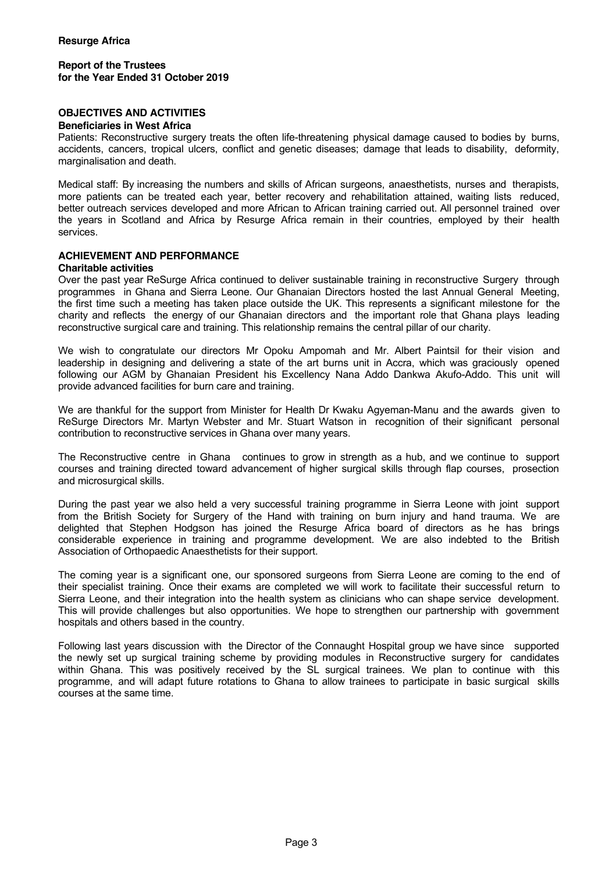# **OBJECTIVES AND ACTIVITIES**

#### **Beneficiaries in West Africa**

Patients: Reconstructive surgery treats the often life-threatening physical damage caused to bodies by burns, accidents, cancers, tropical ulcers, conflict and genetic diseases; damage that leads to disability, deformity, marginalisation and death.

Medical staff: By increasing the numbers and skills of African surgeons, anaesthetists, nurses and therapists, more patients can be treated each year, better recovery and rehabilitation attained, waiting lists reduced, better outreach services developed and more African to African training carried out. All personnel trained over the years in Scotland and Africa by Resurge Africa remain in their countries, employed by their health services.

#### **ACHIEVEMENT AND PERFORMANCE**

#### **Charitable activities**

Over the past year ReSurge Africa continued to deliver sustainable training in reconstructive Surgery through programmes in Ghana and Sierra Leone. Our Ghanaian Directors hosted the last Annual General Meeting, the first time such a meeting has taken place outside the UK. This represents a significant milestone for the charity and reflects the energy of our Ghanaian directors and the important role that Ghana plays leading reconstructive surgical care and training. This relationship remains the central pillar of our charity.

We wish to congratulate our directors Mr Opoku Ampomah and Mr. Albert Paintsil for their vision and leadership in designing and delivering a state of the art burns unit in Accra, which was graciously opened following our AGM by Ghanaian President his Excellency Nana Addo Dankwa Akufo-Addo. This unit will provide advanced facilities for burn care and training.

We are thankful for the support from Minister for Health Dr Kwaku Agyeman-Manu and the awards given to ReSurge Directors Mr. Martyn Webster and Mr. Stuart Watson in recognition of their significant personal contribution to reconstructive services in Ghana over many years.

The Reconstructive centre in Ghana continues to grow in strength as a hub, and we continue to support courses and training directed toward advancement of higher surgical skills through flap courses, prosection and microsurgical skills.

During the past year we also held a very successful training programme in Sierra Leone with joint support from the British Society for Surgery of the Hand with training on burn injury and hand trauma. We are delighted that Stephen Hodgson has joined the Resurge Africa board of directors as he has brings considerable experience in training and programme development. We are also indebted to the British Association of Orthopaedic Anaesthetists for their support.

The coming year is a significant one, our sponsored surgeons from Sierra Leone are coming to the end of their specialist training. Once their exams are completed we will work to facilitate their successful return to Sierra Leone, and their integration into the health system as clinicians who can shape service development. This will provide challenges but also opportunities. We hope to strengthen our partnership with government hospitals and others based in the country.

Following last years discussion with the Director of the Connaught Hospital group we have since supported the newly set up surgical training scheme by providing modules in Reconstructive surgery for candidates within Ghana. This was positively received by the SL surgical trainees. We plan to continue with this programme, and will adapt future rotations to Ghana to allow trainees to participate in basic surgical skills courses at the same time.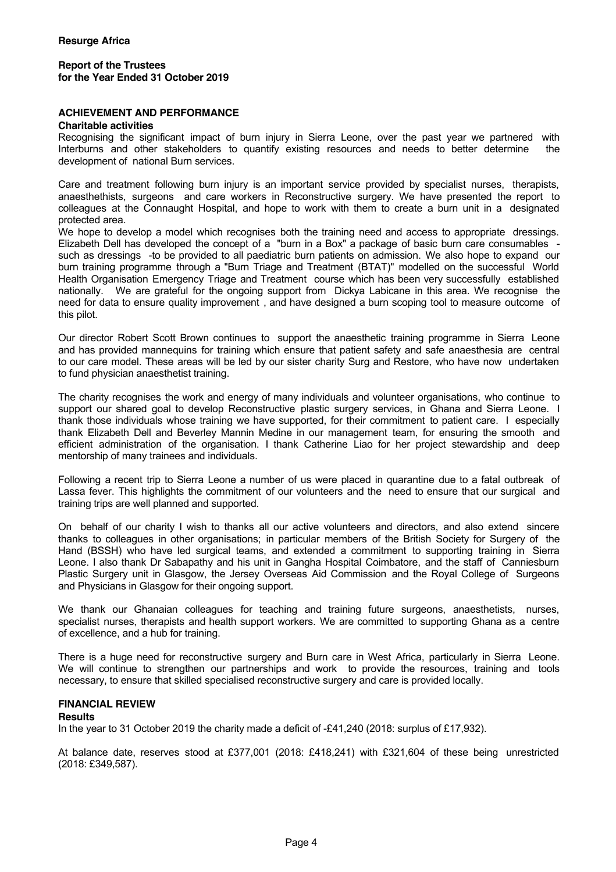# **ACHIEVEMENT AND PERFORMANCE**

#### **Charitable activities**

Recognising the significant impact of burn injury in Sierra Leone, over the past year we partnered with Interburns and other stakeholders to quantify existing resources and needs to better determine the development of national Burn services.

Care and treatment following burn injury is an important service provided by specialist nurses, therapists, anaesthethists, surgeons and care workers in Reconstructive surgery. We have presented the report to colleagues at the Connaught Hospital, and hope to work with them to create a burn unit in a designated protected area.

We hope to develop a model which recognises both the training need and access to appropriate dressings. Elizabeth Dell has developed the concept of a "burn in a Box" a package of basic burn care consumables such as dressings -to be provided to all paediatric burn patients on admission. We also hope to expand our burn training programme through a "Burn Triage and Treatment (BTAT)" modelled on the successful World Health Organisation Emergency Triage and Treatment course which has been very successfully established nationally. We are grateful for the ongoing support from Dickya Labicane in this area. We recognise the need for data to ensure quality improvement , and have designed a burn scoping tool to measure outcome of this pilot.

Our director Robert Scott Brown continues to support the anaesthetic training programme in Sierra Leone and has provided mannequins for training which ensure that patient safety and safe anaesthesia are central to our care model. These areas will be led by our sister charity Surg and Restore, who have now undertaken to fund physician anaesthetist training.

The charity recognises the work and energy of many individuals and volunteer organisations, who continue to support our shared goal to develop Reconstructive plastic surgery services, in Ghana and Sierra Leone. I thank those individuals whose training we have supported, for their commitment to patient care. I especially thank Elizabeth Dell and Beverley Mannin Medine in our management team, for ensuring the smooth and efficient administration of the organisation. I thank Catherine Liao for her project stewardship and deep mentorship of many trainees and individuals.

Following a recent trip to Sierra Leone a number of us were placed in quarantine due to a fatal outbreak of Lassa fever. This highlights the commitment of our volunteers and the need to ensure that our surgical and training trips are well planned and supported.

On behalf of our charity I wish to thanks all our active volunteers and directors, and also extend sincere thanks to colleagues in other organisations; in particular members of the British Society for Surgery of the Hand (BSSH) who have led surgical teams, and extended a commitment to supporting training in Sierra Leone. I also thank Dr Sabapathy and his unit in Gangha Hospital Coimbatore, and the staff of Canniesburn Plastic Surgery unit in Glasgow, the Jersey Overseas Aid Commission and the Royal College of Surgeons and Physicians in Glasgow for their ongoing support.

We thank our Ghanaian colleagues for teaching and training future surgeons, anaesthetists, nurses, specialist nurses, therapists and health support workers. We are committed to supporting Ghana as a centre of excellence, and a hub for training.

There is a huge need for reconstructive surgery and Burn care in West Africa, particularly in Sierra Leone. We will continue to strengthen our partnerships and work to provide the resources, training and tools necessary, to ensure that skilled specialised reconstructive surgery and care is provided locally.

#### **FINANCIAL REVIEW**

#### **Results**

In the year to 31 October 2019 the charity made a deficit of -£41,240 (2018: surplus of £17,932).

At balance date, reserves stood at £377,001 (2018: £418,241) with £321,604 of these being unrestricted (2018: £349,587).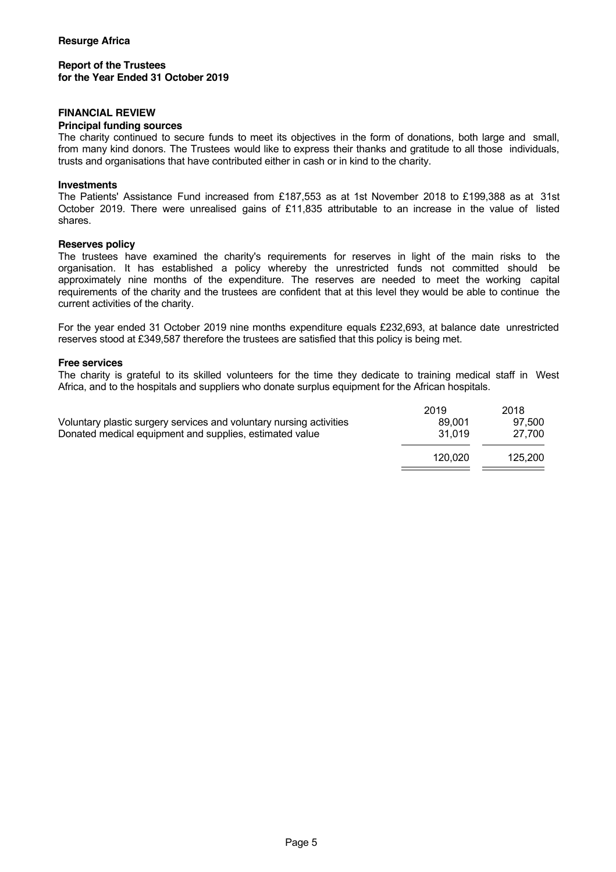# **FINANCIAL REVIEW**

#### **Principal funding sources**

The charity continued to secure funds to meet its objectives in the form of donations, both large and small, from many kind donors. The Trustees would like to express their thanks and gratitude to all those individuals, trusts and organisations that have contributed either in cash or in kind to the charity.

#### **Investments**

The Patients' Assistance Fund increased from £187,553 as at 1st November 2018 to £199,388 as at 31st October 2019. There were unrealised gains of £11,835 attributable to an increase in the value of listed shares.

#### **Reserves policy**

The trustees have examined the charity's requirements for reserves in light of the main risks to the organisation. It has established a policy whereby the unrestricted funds not committed should be approximately nine months of the expenditure. The reserves are needed to meet the working capital requirements of the charity and the trustees are confident that at this level they would be able to continue the current activities of the charity.

For the year ended 31 October 2019 nine months expenditure equals £232,693, at balance date unrestricted reserves stood at £349,587 therefore the trustees are satisfied that this policy is being met.

#### **Free services**

The charity is grateful to its skilled volunteers for the time they dedicate to training medical staff in West Africa, and to the hospitals and suppliers who donate surplus equipment for the African hospitals.

|                                                                     | 2019    | 2018    |
|---------------------------------------------------------------------|---------|---------|
| Voluntary plastic surgery services and voluntary nursing activities | 89,001  | 97.500  |
| Donated medical equipment and supplies, estimated value             | 31.019  | 27.700  |
|                                                                     | 120.020 | 125.200 |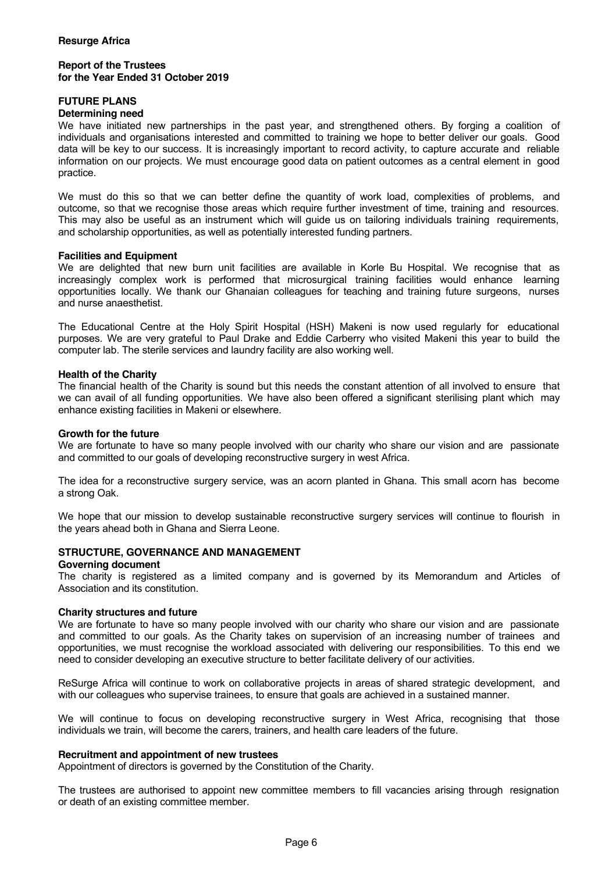### **FUTURE PLANS**

#### **Determining need**

We have initiated new partnerships in the past year, and strengthened others. By forging a coalition of individuals and organisations interested and committed to training we hope to better deliver our goals. Good data will be key to our success. It is increasingly important to record activity, to capture accurate and reliable information on our projects. We must encourage good data on patient outcomes as a central element in good practice.

We must do this so that we can better define the quantity of work load, complexities of problems, and outcome, so that we recognise those areas which require further investment of time, training and resources. This may also be useful as an instrument which will guide us on tailoring individuals training requirements, and scholarship opportunities, as well as potentially interested funding partners.

#### **Facilities and Equipment**

We are delighted that new burn unit facilities are available in Korle Bu Hospital. We recognise that as increasingly complex work is performed that microsurgical training facilities would enhance learning opportunities locally. We thank our Ghanaian colleagues for teaching and training future surgeons, nurses and nurse anaesthetist.

The Educational Centre at the Holy Spirit Hospital (HSH) Makeni is now used regularly for educational purposes. We are very grateful to Paul Drake and Eddie Carberry who visited Makeni this year to build the computer lab. The sterile services and laundry facility are also working well.

### **Health of the Charity**

The financial health of the Charity is sound but this needs the constant attention of all involved to ensure that we can avail of all funding opportunities. We have also been offered a significant sterilising plant which may enhance existing facilities in Makeni or elsewhere.

#### **Growth for the future**

We are fortunate to have so many people involved with our charity who share our vision and are passionate and committed to our goals of developing reconstructive surgery in west Africa.

The idea for a reconstructive surgery service, was an acorn planted in Ghana. This small acorn has become a strong Oak.

We hope that our mission to develop sustainable reconstructive surgery services will continue to flourish in the years ahead both in Ghana and Sierra Leone.

# **STRUCTURE, GOVERNANCE AND MANAGEMENT**

#### **Governing document**

The charity is registered as a limited company and is governed by its Memorandum and Articles of Association and its constitution.

#### **Charity structures and future**

We are fortunate to have so many people involved with our charity who share our vision and are passionate and committed to our goals. As the Charity takes on supervision of an increasing number of trainees and opportunities, we must recognise the workload associated with delivering our responsibilities. To this end we need to consider developing an executive structure to better facilitate delivery of our activities.

ReSurge Africa will continue to work on collaborative projects in areas of shared strategic development, and with our colleagues who supervise trainees, to ensure that goals are achieved in a sustained manner.

We will continue to focus on developing reconstructive surgery in West Africa, recognising that those individuals we train, will become the carers, trainers, and health care leaders of the future.

#### **Recruitment and appointment of new trustees**

Appointment of directors is governed by the Constitution of the Charity.

The trustees are authorised to appoint new committee members to fill vacancies arising through resignation or death of an existing committee member.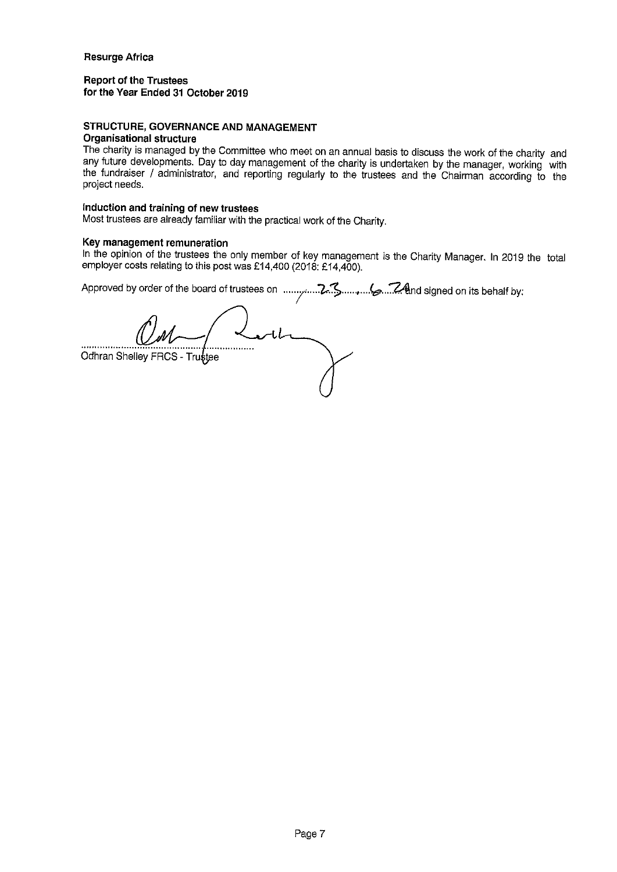# **Report of the Trustees** for the Year Ended 31 October 2019

# STRUCTURE, GOVERNANCE AND MANAGEMENT

# **Organisational structure**

The charity is managed by the Committee who meet on an annual basis to discuss the work of the charity and any future developments. Day to day management of the charity is undertaken by the manager, working with the fundraiser / administrator, and reporting regularly to the trustees and the Chairman according to the project needs.

# Induction and training of new trustees

Most trustees are already familiar with the practical work of the Charity.

# Key management remuneration

In the opinion of the trustees the only member of key management is the Charity Manager. In 2019 the total employer costs relating to this post was £14,400 (2018: £14,400).

Odhran Shelley FRCS - Trustee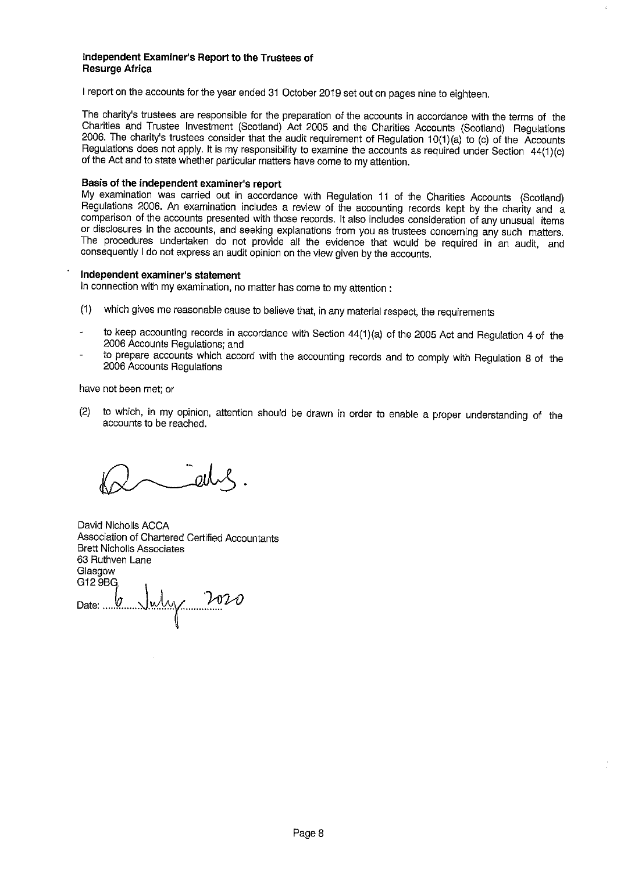#### independent Examiner's Report to the Trustees of **Resurge Africa**

I report on the accounts for the year ended 31 October 2019 set out on pages nine to eighteen.

The charity's trustees are responsible for the preparation of the accounts in accordance with the terms of the Charities and Trustee Investment (Scotland) Act 2005 and the Charities Accounts (Scotland) Requlations 2006. The charity's trustees consider that the audit requirement of Regulation 10(1)(a) to (c) of the Accounts Regulations does not apply. It is my responsibility to examine the accounts as required under Section 44(1)(c) of the Act and to state whether particular matters have come to my attention.

#### Basis of the independent examiner's report

My examination was carried out in accordance with Regulation 11 of the Charities Accounts (Scotland) Regulations 2006. An examination includes a review of the accounting records kept by the charity and a comparison of the accounts presented with those records. It also includes consideration of any unusual items or disclosures in the accounts, and seeking explanations from you as trustees concerning any such matters. The procedures undertaken do not provide all the evidence that would be required in an audit, and consequently I do not express an audit opinion on the view given by the accounts.

#### Independent examiner's statement

In connection with my examination, no matter has come to my attention :

- which gives me reasonable cause to believe that, in any material respect, the requirements  $(1)$
- to keep accounting records in accordance with Section 44(1)(a) of the 2005 Act and Regulation 4 of the 2006 Accounts Regulations; and
- to prepare accounts which accord with the accounting records and to comply with Regulation 8 of the 2006 Accounts Regulations

have not been met; or

 $(2)$ to which, in my opinion, attention should be drawn in order to enable a proper understanding of the accounts to be reached.

David Nicholls ACCA Association of Chartered Certified Accountants **Brett Nicholls Associates** 63 Ruthven Lane Glasgow G12 9BG 6 July 2020 Date: ...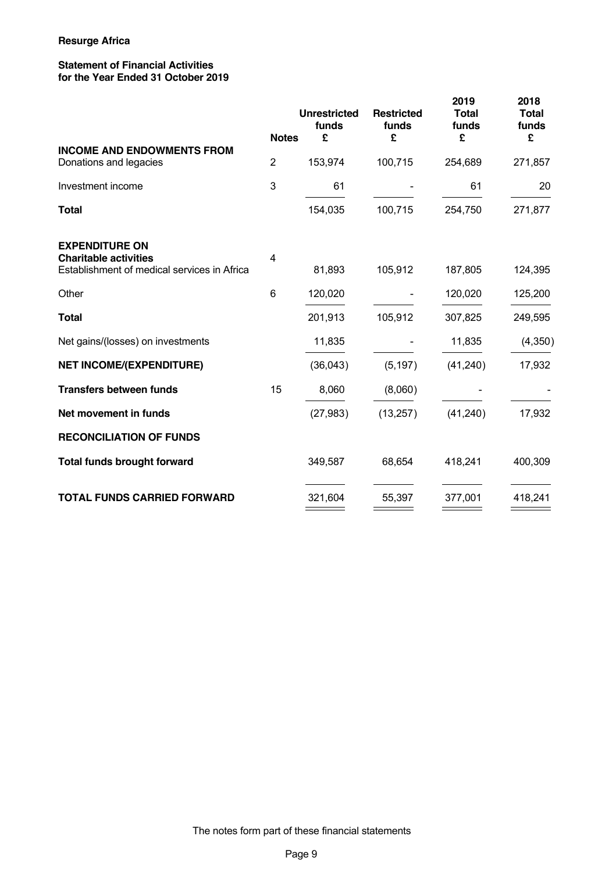# **Statement of Financial Activities for the Year Ended 31 October 2019**

| <b>Notes</b>                                                                                                                    | <b>Unrestricted</b><br>funds<br>£ | <b>Restricted</b><br>funds<br>£ | 2019<br><b>Total</b><br>funds<br>£ | 2018<br><b>Total</b><br>funds<br>£ |
|---------------------------------------------------------------------------------------------------------------------------------|-----------------------------------|---------------------------------|------------------------------------|------------------------------------|
| <b>INCOME AND ENDOWMENTS FROM</b><br>$\overline{2}$<br>Donations and legacies                                                   | 153,974                           | 100,715                         | 254,689                            | 271,857                            |
| $\mathbf{3}$<br>Investment income                                                                                               | 61                                |                                 | 61                                 | 20                                 |
| <b>Total</b>                                                                                                                    | 154,035                           | 100,715                         | 254,750                            | 271,877                            |
| <b>EXPENDITURE ON</b><br><b>Charitable activities</b><br>$\overline{\mathbf{4}}$<br>Establishment of medical services in Africa | 81,893                            | 105,912                         | 187,805                            | 124,395                            |
| Other<br>6                                                                                                                      | 120,020                           |                                 | 120,020                            | 125,200                            |
| <b>Total</b>                                                                                                                    | 201,913                           | 105,912                         | 307,825                            | 249,595                            |
| Net gains/(losses) on investments                                                                                               | 11,835                            |                                 | 11,835                             | (4, 350)                           |
| <b>NET INCOME/(EXPENDITURE)</b>                                                                                                 | (36,043)                          | (5, 197)                        | (41, 240)                          | 17,932                             |
| 15<br><b>Transfers between funds</b>                                                                                            | 8,060                             | (8,060)                         |                                    |                                    |
| Net movement in funds                                                                                                           | (27, 983)                         | (13, 257)                       | (41, 240)                          | 17,932                             |
| <b>RECONCILIATION OF FUNDS</b>                                                                                                  |                                   |                                 |                                    |                                    |
| <b>Total funds brought forward</b>                                                                                              | 349,587                           | 68,654                          | 418,241                            | 400,309                            |
| <b>TOTAL FUNDS CARRIED FORWARD</b>                                                                                              | 321,604                           | 55,397                          | 377,001                            | 418,241                            |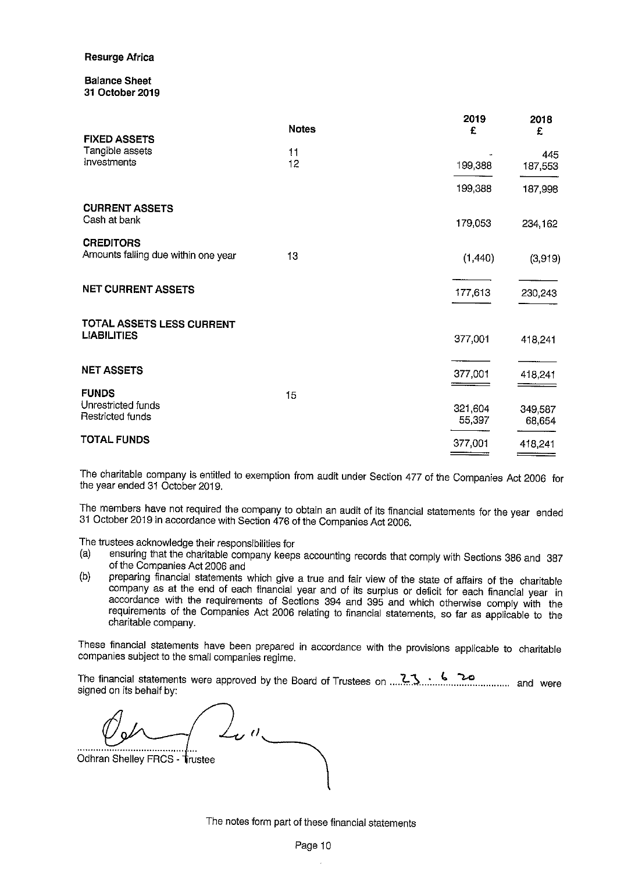#### **Balance Sheet** 31 October 2019

| <b>FIXED ASSETS</b>                                     | <b>Notes</b> | 2019<br>£         | 2018<br>£         |
|---------------------------------------------------------|--------------|-------------------|-------------------|
| Tangible assets                                         | 11           |                   | 445               |
| Investments                                             | 12           | 199,388           | 187,553           |
|                                                         |              | 199,388           | 187,998           |
| <b>CURRENT ASSETS</b><br>Cash at bank                   |              | 179,053           | 234,162           |
| <b>CREDITORS</b><br>Amounts falling due within one year | 13           | (1, 440)          | (3,919)           |
| <b>NET CURRENT ASSETS</b>                               |              | 177,613           | 230,243           |
| TOTAL ASSETS LESS CURRENT<br><b>LIABILITIES</b>         |              | 377,001           | 418,241           |
| <b>NET ASSETS</b>                                       |              | 377,001           | 418,241           |
| <b>FUNDS</b>                                            | 15           |                   |                   |
| Unrestricted funds<br>Restricted funds                  |              | 321,604<br>55,397 | 349,587<br>68,654 |
| <b>TOTAL FUNDS</b>                                      |              | 377,001           | 418,241           |

The charitable company is entitled to exemption from audit under Section 477 of the Companies Act 2006 for the year ended 31 October 2019.

The members have not required the company to obtain an audit of its financial statements for the year ended 31 October 2019 in accordance with Section 476 of the Companies Act 2006.

The trustees acknowledge their responsibilities for

- ensuring that the charitable company keeps accounting records that comply with Sections 386 and 387 (a) of the Companies Act 2006 and
- preparing financial statements which give a true and fair view of the state of affairs of the charitable  $(b)$ company as at the end of each financial year and of its surplus or deficit for each financial year in accordance with the requirements of Sections 394 and 395 and which otherwise comply with the requirements of the Companies Act 2006 relating to financial statements, so far as applicable to the charitable company.

These financial statements have been prepared in accordance with the provisions applicable to charitable companies subject to the small companies regime.

signed on its behalf by:

Odhran Shelley FRCS - Trustee

The notes form part of these financial statements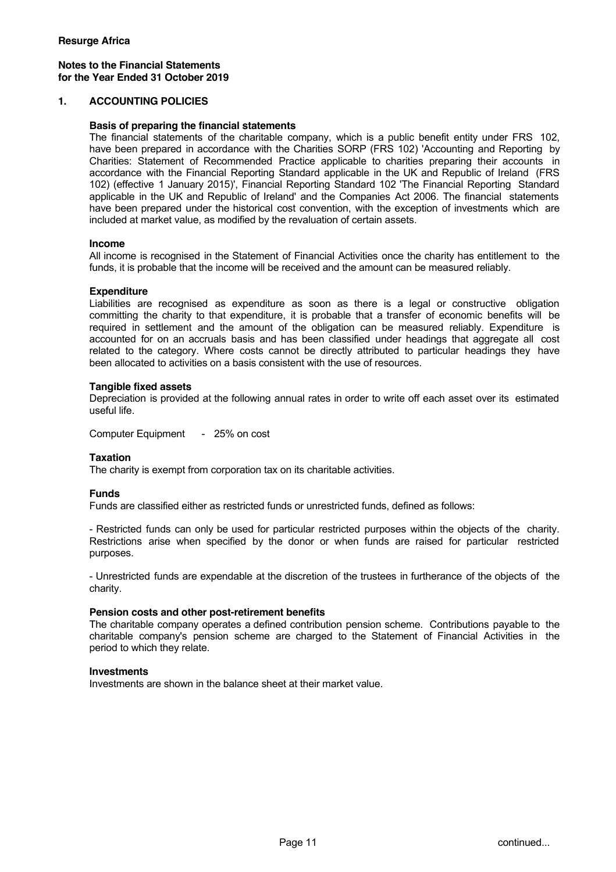# **Notes to the Financial Statements for the Year Ended 31 October 2019**

### **1. ACCOUNTING POLICIES**

#### **Basis of preparing the financial statements**

The financial statements of the charitable company, which is a public benefit entity under FRS 102, have been prepared in accordance with the Charities SORP (FRS 102) 'Accounting and Reporting by Charities: Statement of Recommended Practice applicable to charities preparing their accounts in accordance with the Financial Reporting Standard applicable in the UK and Republic of Ireland (FRS 102) (effective 1 January 2015)', Financial Reporting Standard 102 'The Financial Reporting Standard applicable in the UK and Republic of Ireland' and the Companies Act 2006. The financial statements have been prepared under the historical cost convention, with the exception of investments which are included at market value, as modified by the revaluation of certain assets.

#### **Income**

All income is recognised in the Statement of Financial Activities once the charity has entitlement to the funds, it is probable that the income will be received and the amount can be measured reliably.

#### **Expenditure**

Liabilities are recognised as expenditure as soon as there is a legal or constructive obligation committing the charity to that expenditure, it is probable that a transfer of economic benefits will be required in settlement and the amount of the obligation can be measured reliably. Expenditure is accounted for on an accruals basis and has been classified under headings that aggregate all cost related to the category. Where costs cannot be directly attributed to particular headings they have been allocated to activities on a basis consistent with the use of resources.

#### **Tangible fixed assets**

Depreciation is provided at the following annual rates in order to write off each asset over its estimated useful life.

Computer Equipment - 25% on cost

# **Taxation**

The charity is exempt from corporation tax on its charitable activities.

#### **Funds**

Funds are classified either as restricted funds or unrestricted funds, defined as follows:

- Restricted funds can only be used for particular restricted purposes within the objects of the charity. Restrictions arise when specified by the donor or when funds are raised for particular restricted purposes.

- Unrestricted funds are expendable at the discretion of the trustees in furtherance of the objects of the charity.

#### **Pension costs and other post-retirement benefits**

The charitable company operates a defined contribution pension scheme. Contributions payable to the charitable company's pension scheme are charged to the Statement of Financial Activities in the period to which they relate.

#### **Investments**

Investments are shown in the balance sheet at their market value.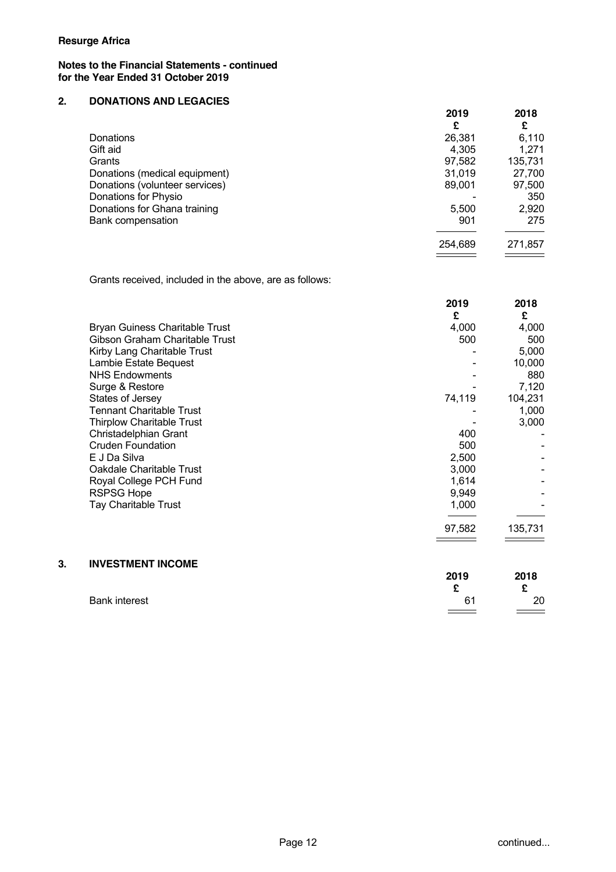## **Notes to the Financial Statements - continued for the Year Ended 31 October 2019**

# **2. DONATIONS AND LEGACIES**

|                                | 2019    | 2018    |
|--------------------------------|---------|---------|
|                                | £       | £       |
| Donations                      | 26,381  | 6.110   |
| Gift aid                       | 4.305   | 1,271   |
| Grants                         | 97,582  | 135,731 |
| Donations (medical equipment)  | 31,019  | 27,700  |
| Donations (volunteer services) | 89,001  | 97,500  |
| Donations for Physio           |         | 350     |
| Donations for Ghana training   | 5,500   | 2,920   |
| <b>Bank compensation</b>       | 901     | 275     |
|                                | 254,689 | 271,857 |
|                                |         |         |

Grants received, included in the above, are as follows:

|    |                                       | 2019<br>£ | 2018<br>£ |
|----|---------------------------------------|-----------|-----------|
|    | <b>Bryan Guiness Charitable Trust</b> | 4,000     | 4,000     |
|    | Gibson Graham Charitable Trust        | 500       | 500       |
|    | Kirby Lang Charitable Trust           |           | 5,000     |
|    | Lambie Estate Bequest                 |           | 10,000    |
|    | <b>NHS Endowments</b>                 |           | 880       |
|    | Surge & Restore                       |           | 7,120     |
|    | States of Jersey                      | 74,119    | 104,231   |
|    | <b>Tennant Charitable Trust</b>       |           | 1,000     |
|    | <b>Thirplow Charitable Trust</b>      |           | 3,000     |
|    | Christadelphian Grant                 | 400       |           |
|    | <b>Cruden Foundation</b>              | 500       |           |
|    | E J Da Silva                          | 2,500     |           |
|    | Oakdale Charitable Trust              | 3,000     |           |
|    | Royal College PCH Fund                | 1,614     |           |
|    | <b>RSPSG Hope</b>                     | 9,949     |           |
|    | Tay Charitable Trust                  | 1,000     |           |
|    |                                       | 97,582    | 135,731   |
|    |                                       |           |           |
| 3. | <b>INVESTMENT INCOME</b>              |           |           |
|    |                                       | 2019      | 2018      |
|    |                                       | £         | £         |

Bank interest 61 20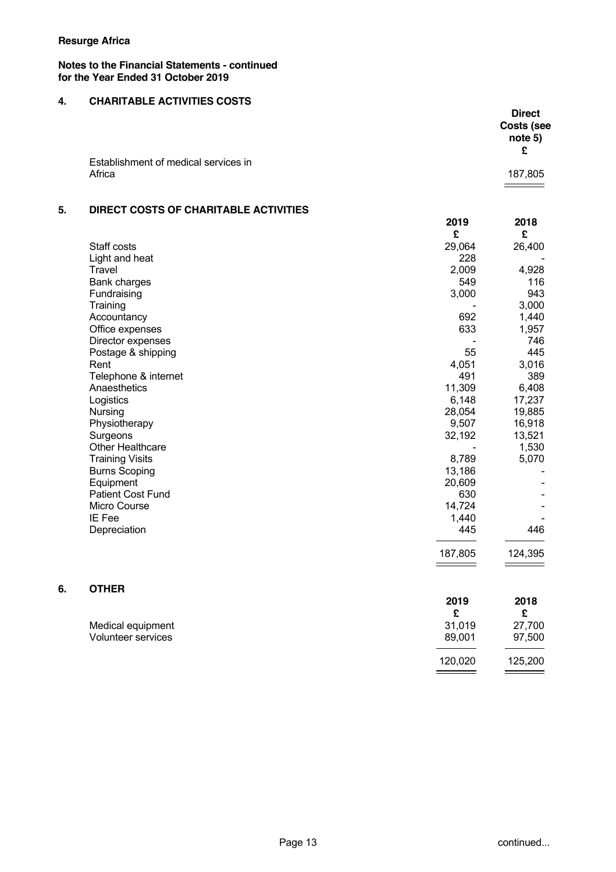**6. OTHER** 

# **Notes to the Financial Statements - continued for the Year Ended 31 October 2019**

# **4. CHARITABLE ACTIVITIES COSTS**

|                                      | <b>Direct</b> |
|--------------------------------------|---------------|
|                                      | Costs (see    |
|                                      | note 5)       |
|                                      | £             |
| Establishment of medical services in |               |
| Africa                               | 187,805       |
|                                      |               |

# **5. DIRECT COSTS OF CHARITABLE ACTIVITIES**

|                          | 2019<br>£ | 2018<br>£ |
|--------------------------|-----------|-----------|
| Staff costs              | 29,064    | 26,400    |
| Light and heat           | 228       |           |
| <b>Travel</b>            | 2,009     | 4,928     |
| Bank charges             | 549       | 116       |
| Fundraising              | 3,000     | 943       |
| Training                 |           | 3,000     |
| Accountancy              | 692       | 1,440     |
| Office expenses          | 633       | 1,957     |
| Director expenses        |           | 746       |
| Postage & shipping       | 55        | 445       |
| Rent                     | 4,051     | 3,016     |
| Telephone & internet     | 491       | 389       |
| Anaesthetics             | 11,309    | 6,408     |
| Logistics                | 6,148     | 17,237    |
| Nursing                  | 28,054    | 19,885    |
| Physiotherapy            | 9,507     | 16,918    |
| Surgeons                 | 32,192    | 13,521    |
| <b>Other Healthcare</b>  |           | 1,530     |
| <b>Training Visits</b>   | 8,789     | 5,070     |
| <b>Burns Scoping</b>     | 13,186    |           |
| Equipment                | 20,609    |           |
| <b>Patient Cost Fund</b> | 630       |           |
| Micro Course             | 14,724    |           |
| IE Fee                   | 1,440     |           |
| Depreciation             | 445       | 446       |
|                          | 187,805   | 124,395   |
| <b>OTHER</b>             |           |           |
|                          | 2019      | 2018      |

| Medical equipment  | 31.019  | 27,700  |
|--------------------|---------|---------|
| Volunteer services | 89.001  | 97,500  |
|                    | 120.020 | 125,200 |
|                    |         |         |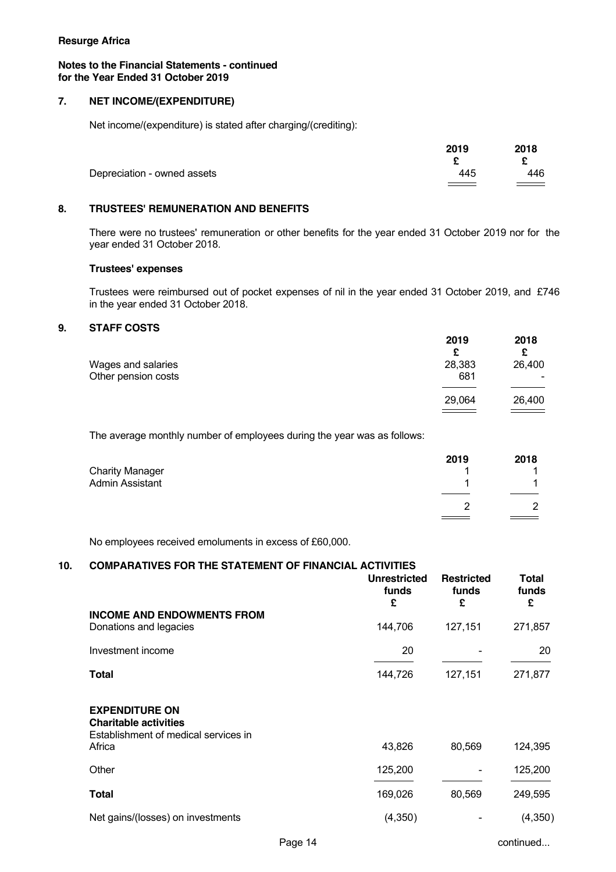#### **Notes to the Financial Statements - continued for the Year Ended 31 October 2019**

# **7. NET INCOME/(EXPENDITURE)**

Net income/(expenditure) is stated after charging/(crediting):

|                             | 2019 | 2018     |
|-----------------------------|------|----------|
|                             |      |          |
| Depreciation - owned assets | 445  | 446      |
|                             |      | $\equiv$ |

# **8. TRUSTEES' REMUNERATION AND BENEFITS**

There were no trustees' remuneration or other benefits for the year ended 31 October 2019 nor for the year ended 31 October 2018.

### **Trustees' expenses**

Trustees were reimbursed out of pocket expenses of nil in the year ended 31 October 2019, and £746 in the year ended 31 October 2018.

# **9. STAFF COSTS**

|                                           | 2019<br>£     | 2018   |
|-------------------------------------------|---------------|--------|
| Wages and salaries<br>Other pension costs | 28,383<br>681 | 26,400 |
|                                           | 29.064        | 26,400 |
|                                           |               |        |

The average monthly number of employees during the year was as follows:

| 2019 | 2018 |
|------|------|
|      |      |
|      |      |
|      | っ    |
|      |      |

No employees received emoluments in excess of £60,000.

#### **10. COMPARATIVES FOR THE STATEMENT OF FINANCIAL ACTIVITIES**

| funds                                                                                         | £       | funds<br>£ | funds<br>£ |
|-----------------------------------------------------------------------------------------------|---------|------------|------------|
| <b>INCOME AND ENDOWMENTS FROM</b><br>Donations and legacies                                   | 144,706 | 127,151    | 271,857    |
| Investment income                                                                             | 20      |            | 20         |
| Total                                                                                         | 144,726 | 127,151    | 271,877    |
| <b>EXPENDITURE ON</b><br><b>Charitable activities</b><br>Establishment of medical services in |         |            |            |
| Africa                                                                                        | 43,826  | 80,569     | 124,395    |
| Other                                                                                         | 125,200 |            | 125,200    |
| Total                                                                                         | 169,026 | 80,569     | 249,595    |
| Net gains/(losses) on investments                                                             | (4,350) |            | (4, 350)   |

Page 14 continued...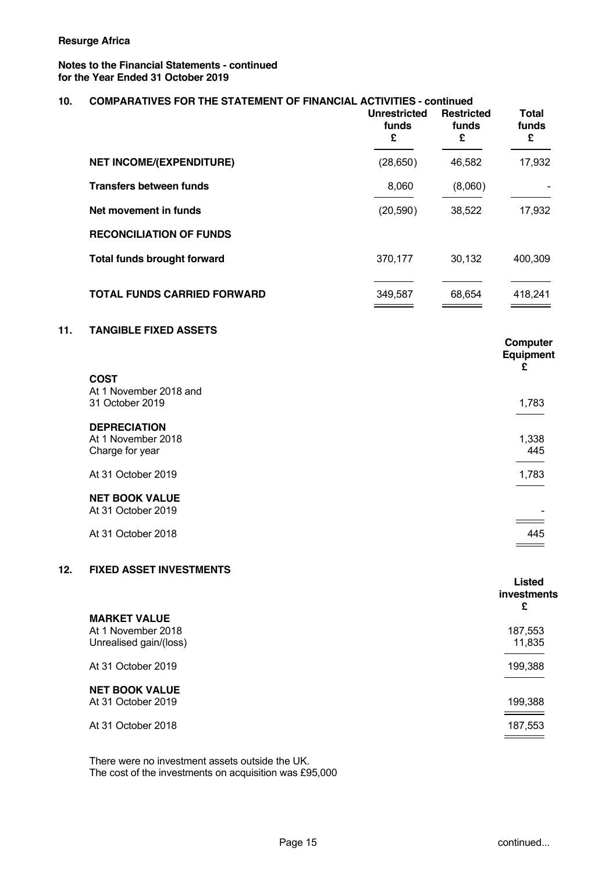# **Notes to the Financial Statements - continued for the Year Ended 31 October 2019**

| 10. | <b>COMPARATIVES FOR THE STATEMENT OF FINANCIAL ACTIVITIES - continued</b> | <b>Unrestricted</b><br>funds<br>£ | <b>Restricted</b><br>funds<br>£ | <b>Total</b><br>funds<br>£        |
|-----|---------------------------------------------------------------------------|-----------------------------------|---------------------------------|-----------------------------------|
|     | <b>NET INCOME/(EXPENDITURE)</b>                                           | (28, 650)                         | 46,582                          | 17,932                            |
|     | <b>Transfers between funds</b>                                            | 8,060                             | (8,060)                         |                                   |
|     | Net movement in funds                                                     | (20, 590)                         | 38,522                          | 17,932                            |
|     | <b>RECONCILIATION OF FUNDS</b>                                            |                                   |                                 |                                   |
|     | <b>Total funds brought forward</b>                                        | 370,177                           | 30,132                          | 400,309                           |
|     | <b>TOTAL FUNDS CARRIED FORWARD</b>                                        | 349,587                           | 68,654                          | 418,241                           |
| 11. | <b>TANGIBLE FIXED ASSETS</b>                                              |                                   |                                 | Computer<br>Equipment<br>£        |
|     | <b>COST</b><br>At 1 November 2018 and<br>31 October 2019                  |                                   |                                 | 1,783                             |
|     | <b>DEPRECIATION</b><br>At 1 November 2018<br>Charge for year              |                                   |                                 | 1,338<br>445                      |
|     | At 31 October 2019                                                        |                                   |                                 | 1,783                             |
|     | <b>NET BOOK VALUE</b><br>At 31 October 2019                               |                                   |                                 |                                   |
|     | At 31 October 2018                                                        |                                   |                                 | 445                               |
| 12. | <b>FIXED ASSET INVESTMENTS</b>                                            |                                   |                                 | <b>Listed</b><br>investments<br>£ |
|     | <b>MARKET VALUE</b><br>At 1 November 2018<br>Unrealised gain/(loss)       |                                   |                                 | 187,553<br>11,835                 |
|     | At 31 October 2019                                                        |                                   |                                 | 199,388                           |
|     | <b>NET BOOK VALUE</b><br>At 31 October 2019                               |                                   |                                 | 199,388                           |
|     | At 31 October 2018                                                        |                                   |                                 | 187,553                           |

There were no investment assets outside the UK. The cost of the investments on acquisition was £95,000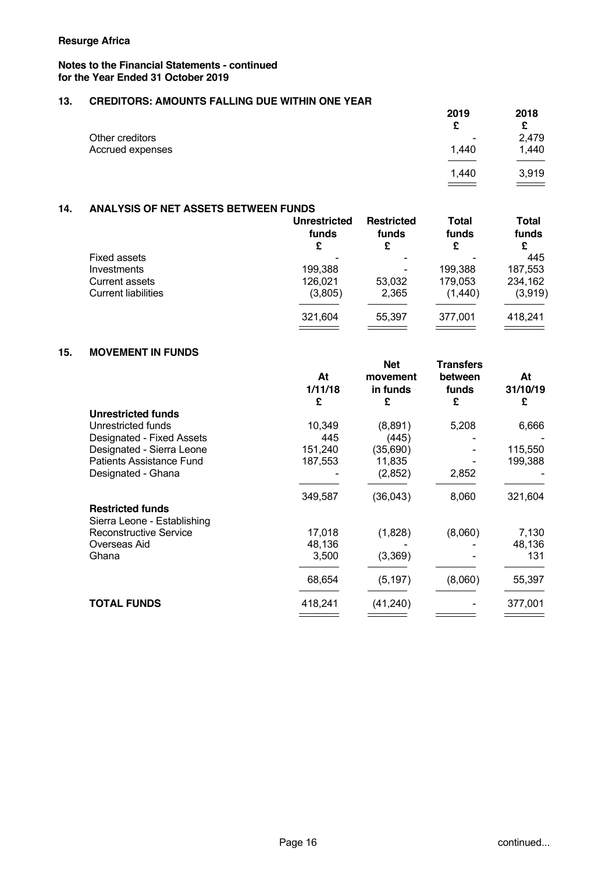# **Notes to the Financial Statements - continued for the Year Ended 31 October 2019**

# **13. CREDITORS: AMOUNTS FALLING DUE WITHIN ONE YEAR**

|                  | 2019<br>£                | 2018<br>c |
|------------------|--------------------------|-----------|
| Other creditors  | $\overline{\phantom{0}}$ | 2,479     |
| Accrued expenses | 1,440                    | 1,440     |
|                  |                          |           |
|                  | 1.440                    | 3,919     |
|                  |                          |           |

# **14. ANALYSIS OF NET ASSETS BETWEEN FUNDS**

| funds<br>£ | <b>Restricted</b><br>funds<br>£ | funds<br>£ | Total<br>funds<br>£ |
|------------|---------------------------------|------------|---------------------|
|            |                                 |            | 445                 |
| 199,388    |                                 | 199.388    | 187,553             |
| 126.021    | 53.032                          | 179,053    | 234,162             |
| (3,805)    | 2,365                           | (1,440)    | (3,919)             |
| 321,604    | 55.397                          | 377,001    | 418,241             |
|            | <b>Unrestricted</b>             |            | <b>Total</b>        |

### **15. MOVEMENT IN FUNDS**

|                                                        | At<br>1/11/18<br>£ | <b>Net</b><br>movement<br>in funds<br>£ | <b>Transfers</b><br>between<br>funds<br>£ | At<br>31/10/19<br>£ |
|--------------------------------------------------------|--------------------|-----------------------------------------|-------------------------------------------|---------------------|
| <b>Unrestricted funds</b>                              |                    |                                         |                                           |                     |
| Unrestricted funds                                     | 10,349             | (8,891)                                 | 5,208                                     | 6,666               |
| Designated - Fixed Assets                              | 445                | (445)                                   |                                           |                     |
| Designated - Sierra Leone                              | 151,240            | (35, 690)                               |                                           | 115,550             |
| <b>Patients Assistance Fund</b>                        | 187,553            | 11,835                                  |                                           | 199,388             |
| Designated - Ghana                                     |                    | (2,852)                                 | 2,852                                     |                     |
|                                                        | 349,587            | (36, 043)                               | 8,060                                     | 321,604             |
| <b>Restricted funds</b><br>Sierra Leone - Establishing |                    |                                         |                                           |                     |
| Reconstructive Service                                 | 17,018             | (1,828)                                 | (8,060)                                   | 7,130               |
| Overseas Aid                                           | 48,136             |                                         |                                           | 48,136              |
| Ghana                                                  | 3,500              | (3,369)                                 |                                           | 131                 |
|                                                        | 68,654             | (5, 197)                                | (8,060)                                   | 55,397              |
| <b>TOTAL FUNDS</b>                                     | 418,241            | (41, 240)                               |                                           | 377,001             |
|                                                        |                    |                                         |                                           |                     |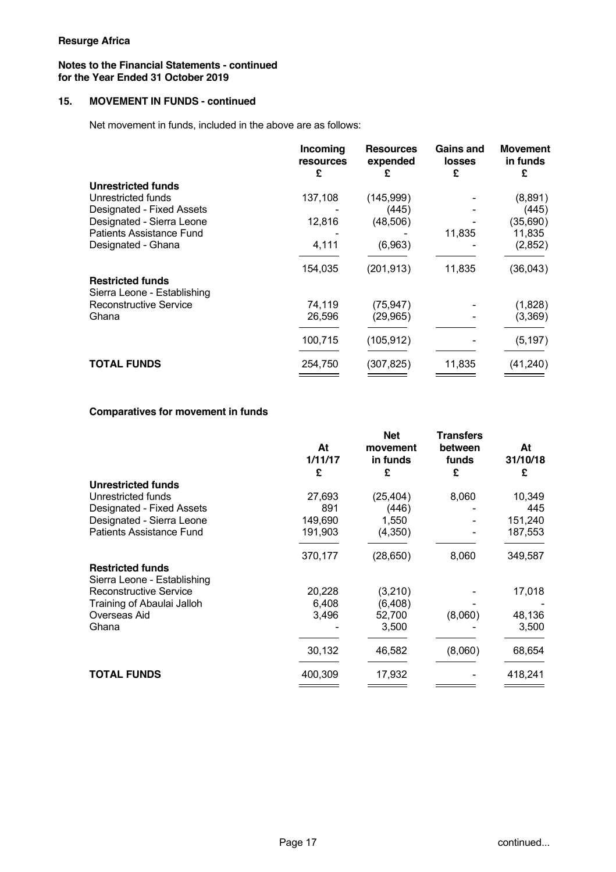## **Notes to the Financial Statements - continued for the Year Ended 31 October 2019**

# **15. MOVEMENT IN FUNDS - continued**

Net movement in funds, included in the above are as follows:

|                                                        | Incoming<br>resources<br>£ | <b>Resources</b><br>expended<br>£ | <b>Gains and</b><br><b>losses</b><br>£ | Movement<br>in funds<br>£ |
|--------------------------------------------------------|----------------------------|-----------------------------------|----------------------------------------|---------------------------|
| Unrestricted funds                                     |                            |                                   |                                        |                           |
| Unrestricted funds                                     | 137,108                    | (145, 999)                        |                                        | (8,891)                   |
| Designated - Fixed Assets                              |                            | (445)                             |                                        | (445)                     |
| Designated - Sierra Leone                              | 12,816                     | (48, 506)                         |                                        | (35,690)                  |
| Patients Assistance Fund                               |                            |                                   | 11,835                                 | 11,835                    |
| Designated - Ghana                                     | 4,111                      | (6,963)                           |                                        | (2,852)                   |
|                                                        | 154,035                    | (201, 913)                        | 11,835                                 | (36,043)                  |
| <b>Restricted funds</b><br>Sierra Leone - Establishing |                            |                                   |                                        |                           |
| Reconstructive Service                                 | 74,119                     | (75, 947)                         |                                        | (1,828)                   |
| Ghana                                                  | 26,596                     | (29, 965)                         |                                        | (3,369)                   |
|                                                        | 100,715                    | (105, 912)                        |                                        | (5, 197)                  |
| <b>TOTAL FUNDS</b>                                     | 254,750                    | (307,825)                         | 11,835                                 | (41, 240)                 |
|                                                        |                            |                                   |                                        |                           |

### **Comparatives for movement in funds**

|         | <b>Net</b>    | <b>Transfers</b>     | At               |
|---------|---------------|----------------------|------------------|
|         |               |                      | 31/10/18         |
| £       | £             | £                    | £                |
|         |               |                      |                  |
| 27,693  | (25, 404)     | 8,060                | 10,349           |
| 891     | (446)         |                      | 445              |
| 149,690 | 1,550         |                      | 151,240          |
| 191,903 | (4,350)       |                      | 187,553          |
| 370,177 | (28, 650)     | 8,060                | 349,587          |
|         |               |                      |                  |
|         |               |                      |                  |
| 20,228  | (3,210)       |                      | 17,018           |
| 6,408   | (6,408)       |                      |                  |
| 3,496   | 52,700        | (8,060)              | 48,136           |
|         | 3,500         |                      | 3,500            |
| 30,132  | 46,582        | (8,060)              | 68,654           |
| 400,309 | 17,932        |                      | 418,241          |
|         | At<br>1/11/17 | movement<br>in funds | between<br>funds |